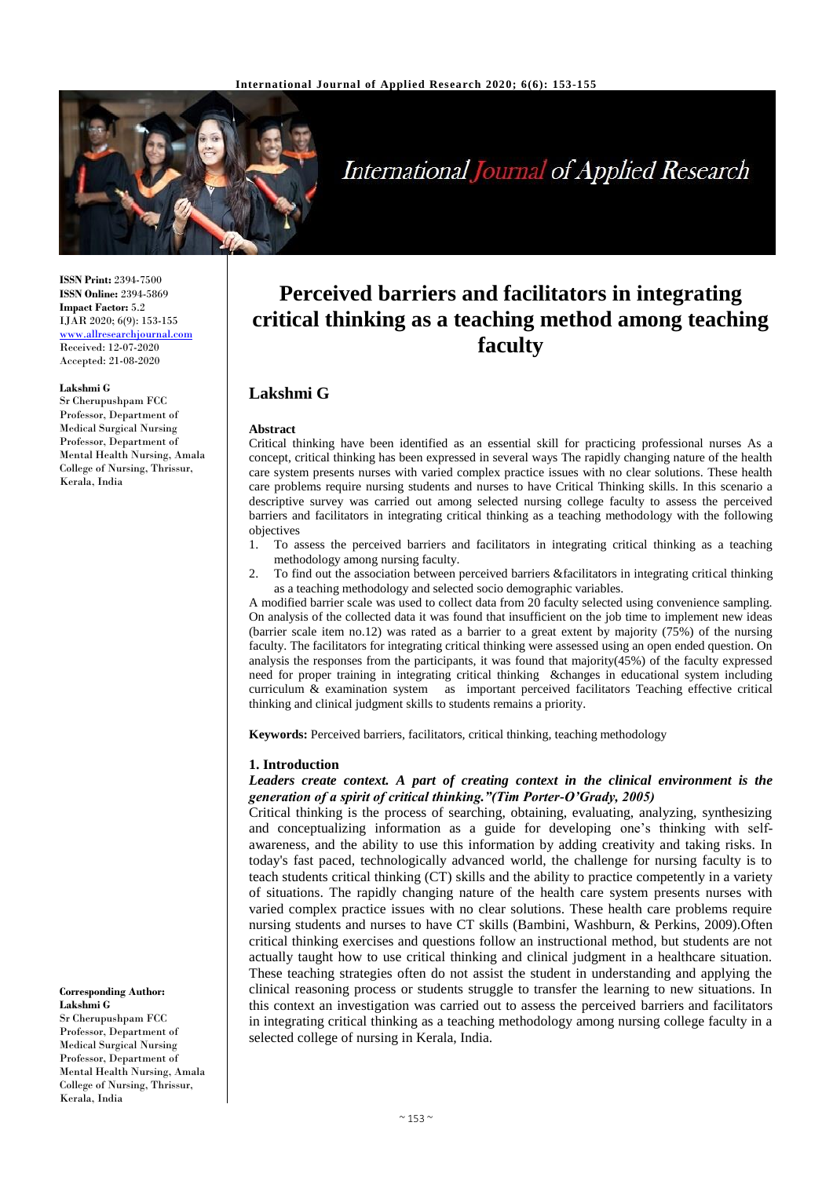

**International Journal of Applied Research** 

**ISSN Print:** 2394-7500 **ISSN Online:** 2394-5869 **Impact Factor:** 5.2 IJAR 2020; 6(9): 153-155 <www.allresearchjournal.com> Received: 12-07-2020 Accepted: 21-08-2020

#### **Lakshmi G**

Sr Cherupushpam FCC Professor, Department of Medical Surgical Nursing Professor, Department of Mental Health Nursing, Amala College of Nursing, Thrissur, Kerala, India

**Corresponding Author: Lakshmi G** Sr Cherupushpam FCC Professor, Department of Medical Surgical Nursing Professor, Department of Mental Health Nursing, Amala College of Nursing, Thrissur, Kerala, India

# **Perceived barriers and facilitators in integrating critical thinking as a teaching method among teaching faculty**

# **Lakshmi G**

#### **Abstract**

Critical thinking have been identified as an essential skill for practicing professional nurses As a concept, critical thinking has been expressed in several ways The rapidly changing nature of the health care system presents nurses with varied complex practice issues with no clear solutions. These health care problems require nursing students and nurses to have Critical Thinking skills. In this scenario a descriptive survey was carried out among selected nursing college faculty to assess the perceived barriers and facilitators in integrating critical thinking as a teaching methodology with the following objectives

- 1. To assess the perceived barriers and facilitators in integrating critical thinking as a teaching methodology among nursing faculty.
- 2. To find out the association between perceived barriers &facilitators in integrating critical thinking as a teaching methodology and selected socio demographic variables.

A modified barrier scale was used to collect data from 20 faculty selected using convenience sampling. On analysis of the collected data it was found that insufficient on the job time to implement new ideas (barrier scale item no.12) was rated as a barrier to a great extent by majority (75%) of the nursing faculty. The facilitators for integrating critical thinking were assessed using an open ended question. On analysis the responses from the participants, it was found that majority(45%) of the faculty expressed need for proper training in integrating critical thinking &changes in educational system including curriculum & examination system as important perceived facilitators Teaching effective critical thinking and clinical judgment skills to students remains a priority.

**Keywords:** Perceived barriers, facilitators, critical thinking, teaching methodology

#### **1. Introduction**

#### *Leaders create context. A part of creating context in the clinical environment is the generation of a spirit of critical thinking."(Tim Porter-O'Grady, 2005)*

Critical thinking is the process of searching, obtaining, evaluating, analyzing, synthesizing and conceptualizing information as a guide for developing one's thinking with selfawareness, and the ability to use this information by adding creativity and taking risks. In today's fast paced, technologically advanced world, the challenge for nursing faculty is to teach students critical thinking (CT) skills and the ability to practice competently in a variety of situations. The rapidly changing nature of the health care system presents nurses with varied complex practice issues with no clear solutions. These health care problems require nursing students and nurses to have CT skills (Bambini, Washburn, & Perkins, 2009).Often critical thinking exercises and questions follow an instructional method, but students are not actually taught how to use critical thinking and clinical judgment in a healthcare situation. These teaching strategies often do not assist the student in understanding and applying the clinical reasoning process or students struggle to transfer the learning to new situations. In this context an investigation was carried out to assess the perceived barriers and facilitators in integrating critical thinking as a teaching methodology among nursing college faculty in a selected college of nursing in Kerala, India.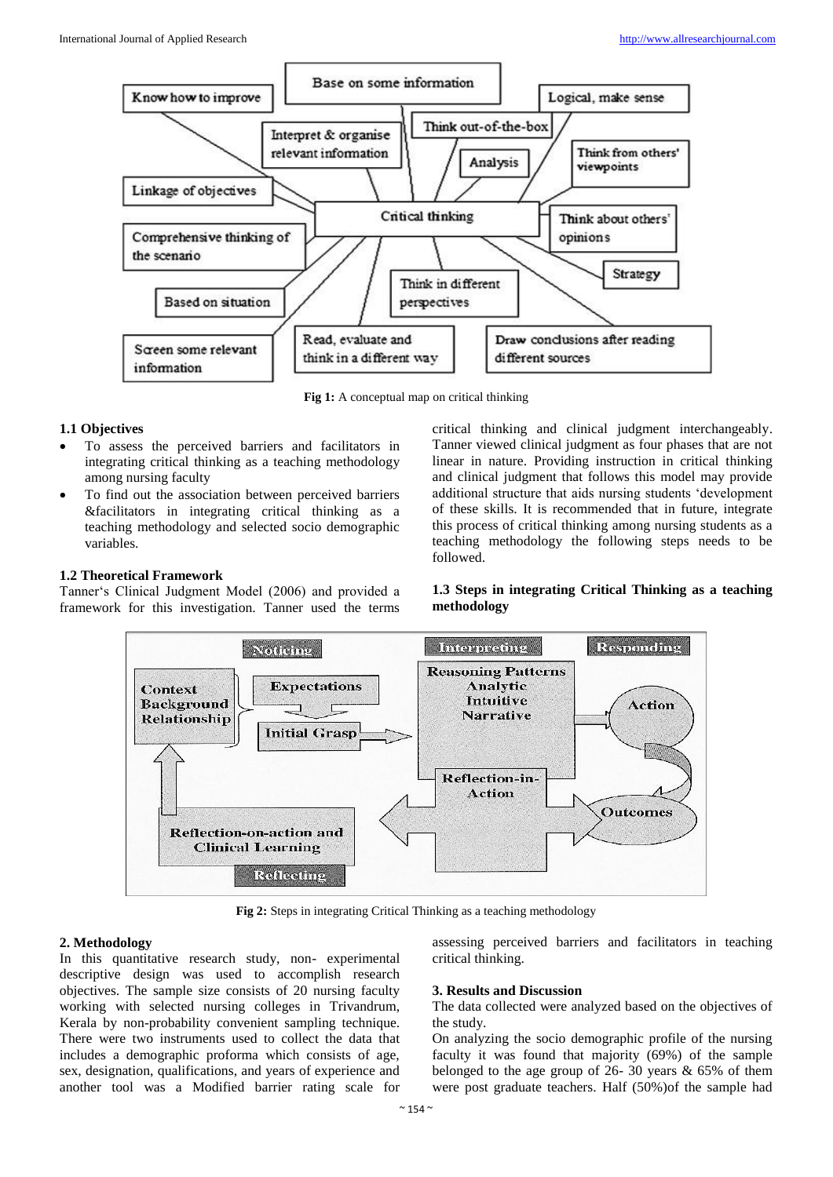

**Fig 1:** A conceptual map on critical thinking

## **1.1 Objectives**

- To assess the perceived barriers and facilitators in integrating critical thinking as a teaching methodology among nursing faculty
- To find out the association between perceived barriers &facilitators in integrating critical thinking as a teaching methodology and selected socio demographic variables.

#### **1.2 Theoretical Framework**

Tanner's Clinical Judgment Model (2006) and provided a framework for this investigation. Tanner used the terms critical thinking and clinical judgment interchangeably. Tanner viewed clinical judgment as four phases that are not linear in nature. Providing instruction in critical thinking and clinical judgment that follows this model may provide additional structure that aids nursing students 'development of these skills. It is recommended that in future, integrate this process of critical thinking among nursing students as a teaching methodology the following steps needs to be followed.

# **1.3 Steps in integrating Critical Thinking as a teaching methodology**



**Fig 2:** Steps in integrating Critical Thinking as a teaching methodology

#### **2. Methodology**

In this quantitative research study, non- experimental descriptive design was used to accomplish research objectives. The sample size consists of 20 nursing faculty working with selected nursing colleges in Trivandrum, Kerala by non-probability convenient sampling technique. There were two instruments used to collect the data that includes a demographic proforma which consists of age, sex, designation, qualifications, and years of experience and another tool was a Modified barrier rating scale for

assessing perceived barriers and facilitators in teaching critical thinking.

#### **3. Results and Discussion**

The data collected were analyzed based on the objectives of the study.

On analyzing the socio demographic profile of the nursing faculty it was found that majority (69%) of the sample belonged to the age group of 26- 30 years & 65% of them were post graduate teachers. Half (50%)of the sample had